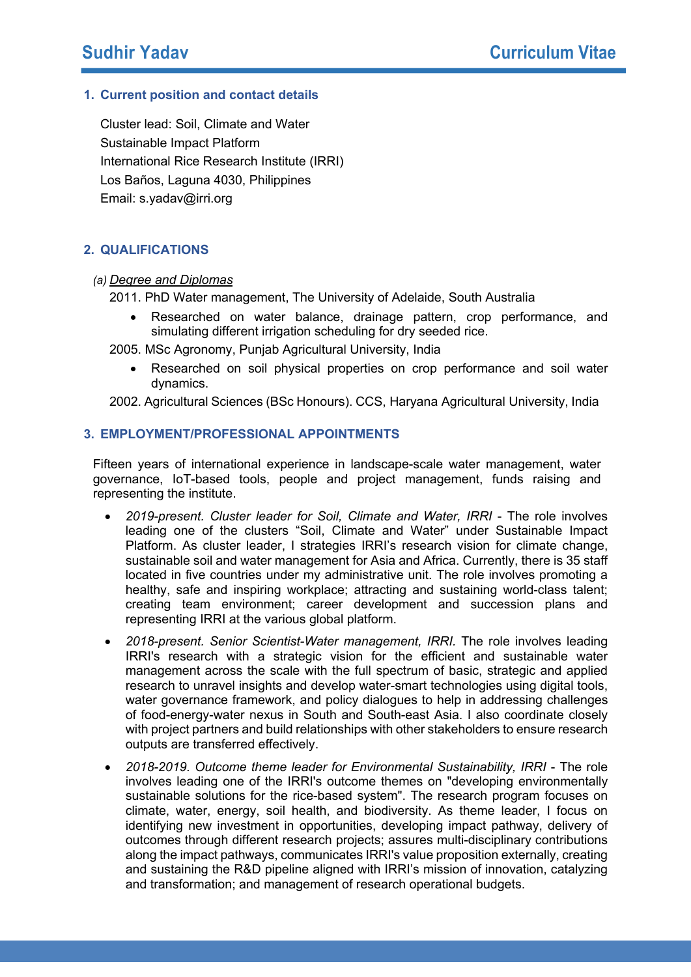# **1. Current position and contact details**

Cluster lead: Soil, Climate and Water Sustainable Impact Platform International Rice Research Institute (IRRI) Los Baños, Laguna 4030, Philippines Email: s.yadav@irri.org

# **2. QUALIFICATIONS**

## *(a) Degree and Diplomas*

2011. PhD Water management, The University of Adelaide, South Australia

- Researched on water balance, drainage pattern, crop performance, and simulating different irrigation scheduling for dry seeded rice.
- 2005. MSc Agronomy, Punjab Agricultural University, India
	- Researched on soil physical properties on crop performance and soil water dynamics.

2002. Agricultural Sciences (BSc Honours). CCS, Haryana Agricultural University, India

#### **3. EMPLOYMENT/PROFESSIONAL APPOINTMENTS**

Fifteen years of international experience in landscape-scale water management, water governance, IoT-based tools, people and project management, funds raising and representing the institute.

- *2019-present. Cluster leader for Soil, Climate and Water, IRRI* The role involves leading one of the clusters "Soil, Climate and Water" under Sustainable Impact Platform. As cluster leader, I strategies IRRI's research vision for climate change, sustainable soil and water management for Asia and Africa. Currently, there is 35 staff located in five countries under my administrative unit. The role involves promoting a healthy, safe and inspiring workplace; attracting and sustaining world-class talent; creating team environment; career development and succession plans and representing IRRI at the various global platform.
- *2018-present. Senior Scientist-Water management, IRRI.* The role involves leading IRRI's research with a strategic vision for the efficient and sustainable water management across the scale with the full spectrum of basic, strategic and applied research to unravel insights and develop water-smart technologies using digital tools, water governance framework, and policy dialogues to help in addressing challenges of food-energy-water nexus in South and South-east Asia. I also coordinate closely with project partners and build relationships with other stakeholders to ensure research outputs are transferred effectively.
- *2018-2019. Outcome theme leader for Environmental Sustainability, IRRI* The role involves leading one of the IRRI's outcome themes on "developing environmentally sustainable solutions for the rice-based system". The research program focuses on climate, water, energy, soil health, and biodiversity. As theme leader, I focus on identifying new investment in opportunities, developing impact pathway, delivery of outcomes through different research projects; assures multi-disciplinary contributions along the impact pathways, communicates IRRI's value proposition externally, creating and sustaining the R&D pipeline aligned with IRRI's mission of innovation, catalyzing and transformation; and management of research operational budgets.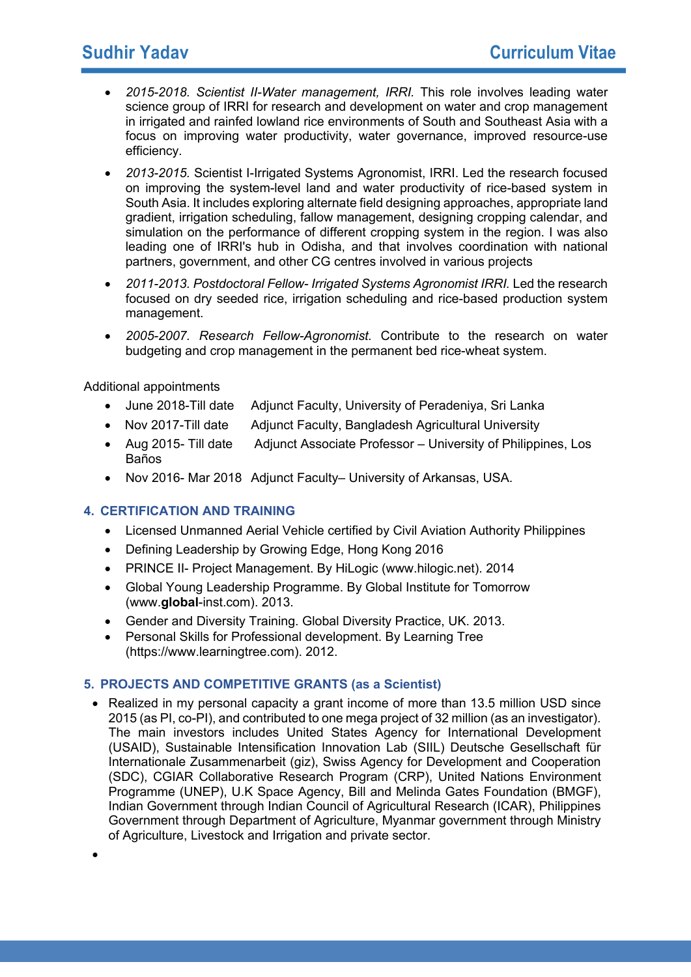- *2015-2018. Scientist II-Water management, IRRI.* This role involves leading water science group of IRRI for research and development on water and crop management in irrigated and rainfed lowland rice environments of South and Southeast Asia with a focus on improving water productivity, water governance, improved resource-use efficiency*.*
- *2013-2015.* Scientist I-Irrigated Systems Agronomist, IRRI. Led the research focused on improving the system-level land and water productivity of rice-based system in South Asia. It includes exploring alternate field designing approaches, appropriate land gradient, irrigation scheduling, fallow management, designing cropping calendar, and simulation on the performance of different cropping system in the region. I was also leading one of IRRI's hub in Odisha, and that involves coordination with national partners, government, and other CG centres involved in various projects
- *2011-2013. Postdoctoral Fellow- Irrigated Systems Agronomist IRRI.* Led the research focused on dry seeded rice, irrigation scheduling and rice-based production system management.
- *2005-2007. Research Fellow-Agronomist.* Contribute to the research on water budgeting and crop management in the permanent bed rice-wheat system.

Additional appointments

- June 2018-Till date Adjunct Faculty, University of Peradeniya, Sri Lanka
- Nov 2017-Till date Adjunct Faculty, Bangladesh Agricultural University
- Aug 2015- Till date Adjunct Associate Professor University of Philippines, Los Baños
- Nov 2016- Mar 2018 Adjunct Faculty– University of Arkansas, USA.

## **4. CERTIFICATION AND TRAINING**

- Licensed Unmanned Aerial Vehicle certified by Civil Aviation Authority Philippines
- Defining Leadership by Growing Edge, Hong Kong 2016
- PRINCE II- Project Management. By HiLogic (www.hilogic.net). 2014
- Global Young Leadership Programme. By Global Institute for Tomorrow (www.**global**-inst.com). 2013.
- Gender and Diversity Training. Global Diversity Practice, UK. 2013.
- Personal Skills for Professional development. By Learning Tree (https://www.learningtree.com). 2012.

## **5. PROJECTS AND COMPETITIVE GRANTS (as a Scientist)**

• Realized in my personal capacity a grant income of more than 13.5 million USD since 2015 (as PI, co-PI), and contributed to one mega project of 32 million (as an investigator). The main investors includes United States Agency for International Development (USAID), Sustainable Intensification Innovation Lab (SIIL) Deutsche Gesellschaft für Internationale Zusammenarbeit (giz), Swiss Agency for Development and Cooperation (SDC), CGIAR Collaborative Research Program (CRP), United Nations Environment Programme (UNEP), U.K Space Agency, Bill and Melinda Gates Foundation (BMGF), Indian Government through Indian Council of Agricultural Research (ICAR), Philippines Government through Department of Agriculture, Myanmar government through Ministry of Agriculture, Livestock and Irrigation and private sector.

•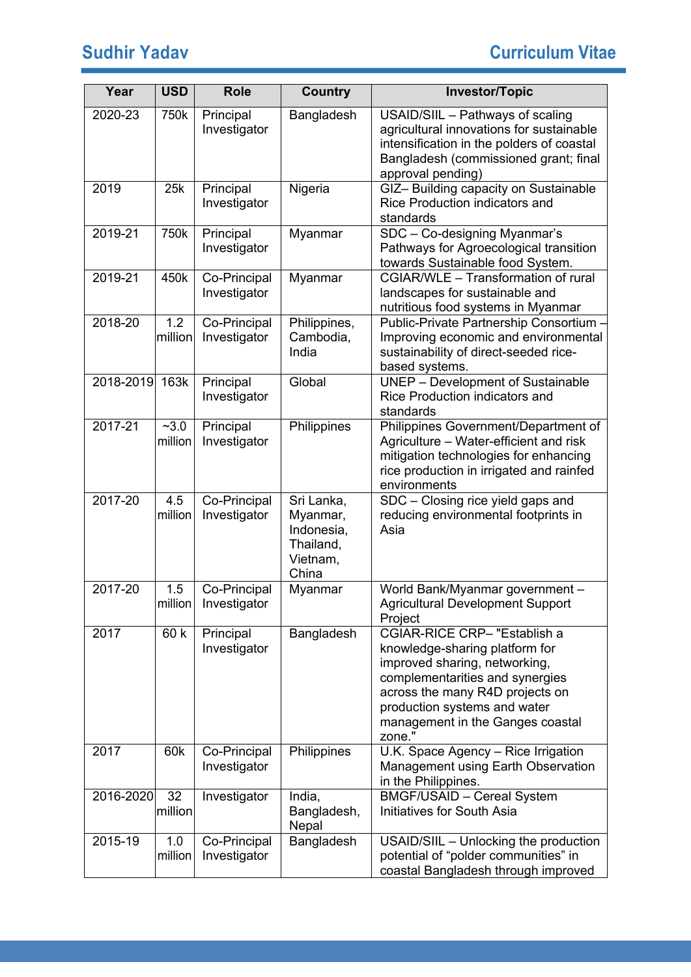| Year        | <b>USD</b>        | <b>Role</b>                  | <b>Country</b>                                                         | <b>Investor/Topic</b>                                                                                                                                                                                                                               |
|-------------|-------------------|------------------------------|------------------------------------------------------------------------|-----------------------------------------------------------------------------------------------------------------------------------------------------------------------------------------------------------------------------------------------------|
| 2020-23     | 750k              | Principal<br>Investigator    | Bangladesh                                                             | USAID/SIIL - Pathways of scaling<br>agricultural innovations for sustainable<br>intensification in the polders of coastal<br>Bangladesh (commissioned grant; final<br>approval pending)                                                             |
| 2019        | 25k               | Principal<br>Investigator    | Nigeria                                                                | GIZ-Building capacity on Sustainable<br>Rice Production indicators and<br>standards                                                                                                                                                                 |
| 2019-21     | 750k              | Principal<br>Investigator    | Myanmar                                                                | SDC - Co-designing Myanmar's<br>Pathways for Agroecological transition<br>towards Sustainable food System.                                                                                                                                          |
| 2019-21     | 450k              | Co-Principal<br>Investigator | Myanmar                                                                | CGIAR/WLE - Transformation of rural<br>landscapes for sustainable and<br>nutritious food systems in Myanmar                                                                                                                                         |
| 2018-20     | 1.2<br>million    | Co-Principal<br>Investigator | Philippines,<br>Cambodia,<br>India                                     | Public-Private Partnership Consortium -<br>Improving economic and environmental<br>sustainability of direct-seeded rice-<br>based systems.                                                                                                          |
| 2018-2019   | 163k              | Principal<br>Investigator    | Global                                                                 | <b>UNEP</b> - Development of Sustainable<br>Rice Production indicators and<br>standards                                                                                                                                                             |
| $2017 - 21$ | $-3.0$<br>million | Principal<br>Investigator    | Philippines                                                            | Philippines Government/Department of<br>Agriculture - Water-efficient and risk<br>mitigation technologies for enhancing<br>rice production in irrigated and rainfed<br>environments                                                                 |
| 2017-20     | 4.5<br>million    | Co-Principal<br>Investigator | Sri Lanka,<br>Myanmar,<br>Indonesia,<br>Thailand,<br>Vietnam,<br>China | SDC - Closing rice yield gaps and<br>reducing environmental footprints in<br>Asia                                                                                                                                                                   |
| 2017-20     | 1.5<br>million    | Co-Principal<br>Investigator | Myanmar                                                                | World Bank/Myanmar government -<br>Agricultural Development Support<br>Project                                                                                                                                                                      |
| 2017        | 60 k              | Principal<br>Investigator    | Bangladesh                                                             | CGIAR-RICE CRP- "Establish a<br>knowledge-sharing platform for<br>improved sharing, networking,<br>complementarities and synergies<br>across the many R4D projects on<br>production systems and water<br>management in the Ganges coastal<br>zone." |
| 2017        | 60k               | Co-Principal<br>Investigator | Philippines                                                            | U.K. Space Agency - Rice Irrigation<br>Management using Earth Observation<br>in the Philippines.                                                                                                                                                    |
| 2016-2020   | 32<br>million     | Investigator                 | India,<br>Bangladesh,<br>Nepal                                         | <b>BMGF/USAID - Cereal System</b><br>Initiatives for South Asia                                                                                                                                                                                     |
| 2015-19     | 1.0<br>million    | Co-Principal<br>Investigator | Bangladesh                                                             | USAID/SIIL - Unlocking the production<br>potential of "polder communities" in<br>coastal Bangladesh through improved                                                                                                                                |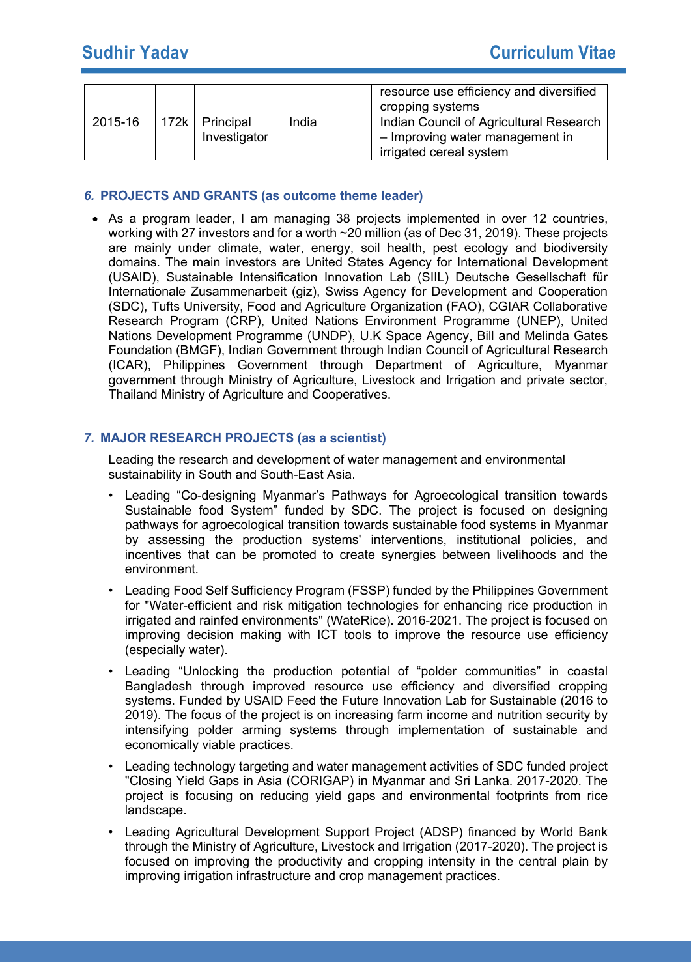|         |                                |       | resource use efficiency and diversified<br>cropping systems                |
|---------|--------------------------------|-------|----------------------------------------------------------------------------|
| 2015-16 | 172k Principal<br>Investigator | India | Indian Council of Agricultural Research<br>- Improving water management in |
|         |                                |       | irrigated cereal system                                                    |

## *6.* **PROJECTS AND GRANTS (as outcome theme leader)**

• As a program leader, I am managing 38 projects implemented in over 12 countries, working with 27 investors and for a worth ~20 million (as of Dec 31, 2019). These projects are mainly under climate, water, energy, soil health, pest ecology and biodiversity domains. The main investors are United States Agency for International Development (USAID), Sustainable Intensification Innovation Lab (SIIL) Deutsche Gesellschaft für Internationale Zusammenarbeit (giz), Swiss Agency for Development and Cooperation (SDC), Tufts University, Food and Agriculture Organization (FAO), CGIAR Collaborative Research Program (CRP), United Nations Environment Programme (UNEP), United Nations Development Programme (UNDP), U.K Space Agency, Bill and Melinda Gates Foundation (BMGF), Indian Government through Indian Council of Agricultural Research (ICAR), Philippines Government through Department of Agriculture, Myanmar government through Ministry of Agriculture, Livestock and Irrigation and private sector, Thailand Ministry of Agriculture and Cooperatives.

## *7.* **MAJOR RESEARCH PROJECTS (as a scientist)**

Leading the research and development of water management and environmental sustainability in South and South-East Asia.

- Leading "Co-designing Myanmar's Pathways for Agroecological transition towards Sustainable food System" funded by SDC. The project is focused on designing pathways for agroecological transition towards sustainable food systems in Myanmar by assessing the production systems' interventions, institutional policies, and incentives that can be promoted to create synergies between livelihoods and the environment.
- Leading Food Self Sufficiency Program (FSSP) funded by the Philippines Government for "Water-efficient and risk mitigation technologies for enhancing rice production in irrigated and rainfed environments" (WateRice). 2016-2021. The project is focused on improving decision making with ICT tools to improve the resource use efficiency (especially water).
- Leading "Unlocking the production potential of "polder communities" in coastal Bangladesh through improved resource use efficiency and diversified cropping systems. Funded by USAID Feed the Future Innovation Lab for Sustainable (2016 to 2019). The focus of the project is on increasing farm income and nutrition security by intensifying polder arming systems through implementation of sustainable and economically viable practices.
- Leading technology targeting and water management activities of SDC funded project "Closing Yield Gaps in Asia (CORIGAP) in Myanmar and Sri Lanka. 2017-2020. The project is focusing on reducing yield gaps and environmental footprints from rice landscape.
- Leading Agricultural Development Support Project (ADSP) financed by World Bank through the Ministry of Agriculture, Livestock and Irrigation (2017-2020). The project is focused on improving the productivity and cropping intensity in the central plain by improving irrigation infrastructure and crop management practices.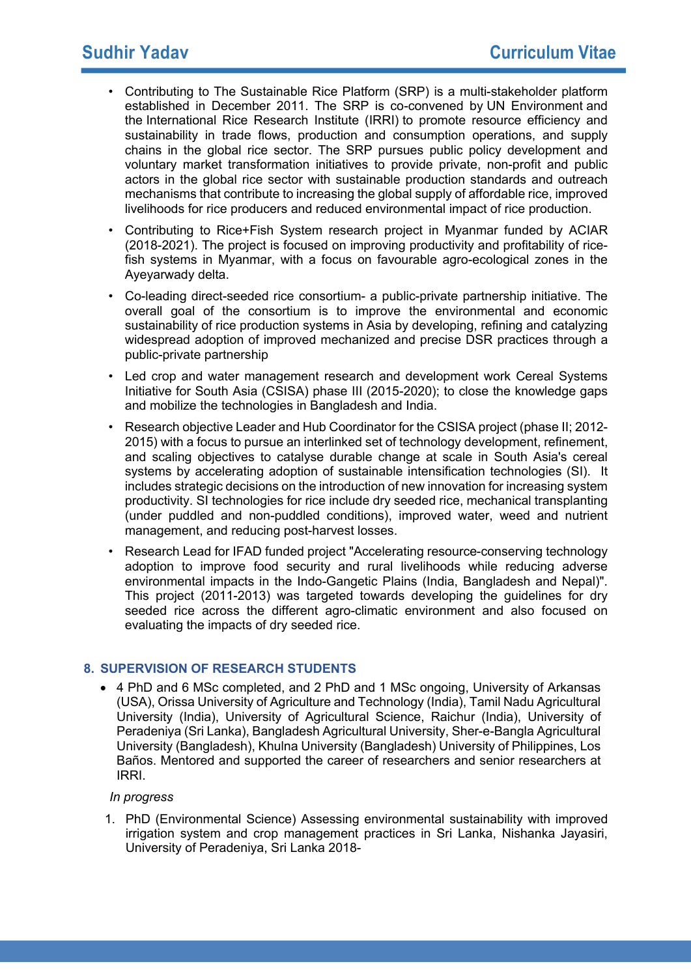- Contributing to The Sustainable Rice Platform (SRP) is a multi-stakeholder platform established in December 2011. The SRP is co-convened by UN Environment and the International Rice Research Institute (IRRI) to promote resource efficiency and sustainability in trade flows, production and consumption operations, and supply chains in the global rice sector. The SRP pursues public policy development and voluntary market transformation initiatives to provide private, non-profit and public actors in the global rice sector with sustainable production standards and outreach mechanisms that contribute to increasing the global supply of affordable rice, improved livelihoods for rice producers and reduced environmental impact of rice production.
- Contributing to Rice+Fish System research project in Myanmar funded by ACIAR (2018-2021). The project is focused on improving productivity and profitability of ricefish systems in Myanmar, with a focus on favourable agro-ecological zones in the Ayeyarwady delta.
- Co-leading direct-seeded rice consortium- a public-private partnership initiative. The overall goal of the consortium is to improve the environmental and economic sustainability of rice production systems in Asia by developing, refining and catalyzing widespread adoption of improved mechanized and precise DSR practices through a public-private partnership
- Led crop and water management research and development work Cereal Systems Initiative for South Asia (CSISA) phase III (2015-2020); to close the knowledge gaps and mobilize the technologies in Bangladesh and India.
- Research objective Leader and Hub Coordinator for the CSISA project (phase II; 2012- 2015) with a focus to pursue an interlinked set of technology development, refinement, and scaling objectives to catalyse durable change at scale in South Asia's cereal systems by accelerating adoption of sustainable intensification technologies (SI). It includes strategic decisions on the introduction of new innovation for increasing system productivity. SI technologies for rice include dry seeded rice, mechanical transplanting (under puddled and non-puddled conditions), improved water, weed and nutrient management, and reducing post-harvest losses.
- Research Lead for IFAD funded project "Accelerating resource-conserving technology adoption to improve food security and rural livelihoods while reducing adverse environmental impacts in the Indo-Gangetic Plains (India, Bangladesh and Nepal)". This project (2011-2013) was targeted towards developing the guidelines for dry seeded rice across the different agro-climatic environment and also focused on evaluating the impacts of dry seeded rice.

# **8. SUPERVISION OF RESEARCH STUDENTS**

• 4 PhD and 6 MSc completed, and 2 PhD and 1 MSc ongoing, University of Arkansas (USA), Orissa University of Agriculture and Technology (India), Tamil Nadu Agricultural University (India), University of Agricultural Science, Raichur (India), University of Peradeniya (Sri Lanka), Bangladesh Agricultural University, Sher-e-Bangla Agricultural University (Bangladesh), Khulna University (Bangladesh) University of Philippines, Los Baños. Mentored and supported the career of researchers and senior researchers at IRRI.

## *In progress*

1. PhD (Environmental Science) Assessing environmental sustainability with improved irrigation system and crop management practices in Sri Lanka, Nishanka Jayasiri, University of Peradeniya, Sri Lanka 2018-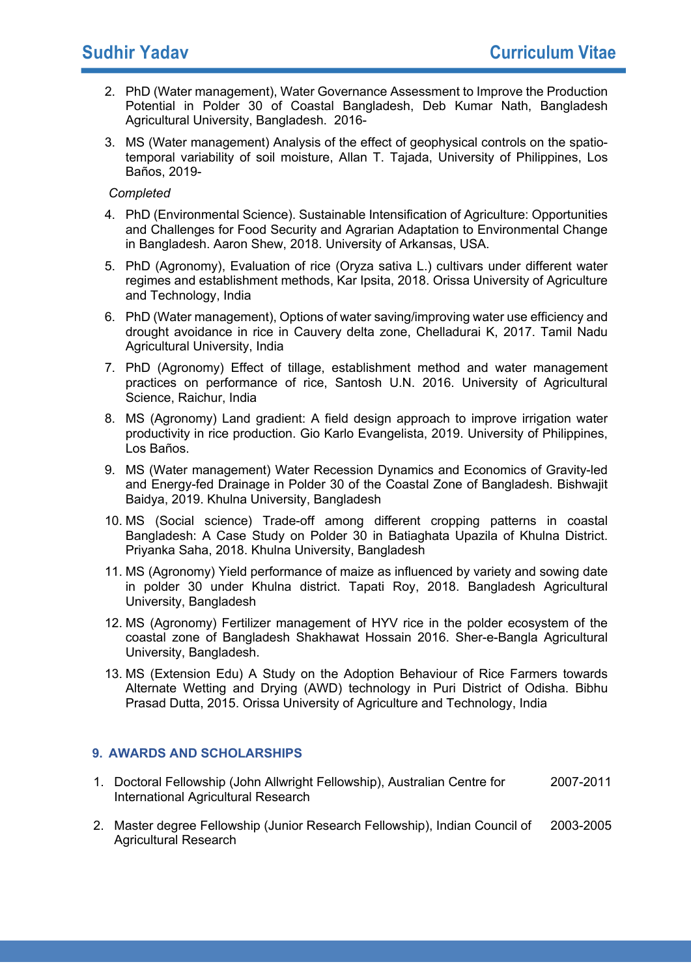- 2. PhD (Water management), Water Governance Assessment to Improve the Production Potential in Polder 30 of Coastal Bangladesh, Deb Kumar Nath, Bangladesh Agricultural University, Bangladesh. 2016-
- 3. MS (Water management) Analysis of the effect of geophysical controls on the spatiotemporal variability of soil moisture, Allan T. Tajada, University of Philippines, Los Baños, 2019-

#### *Completed*

- 4. PhD (Environmental Science). Sustainable Intensification of Agriculture: Opportunities and Challenges for Food Security and Agrarian Adaptation to Environmental Change in Bangladesh. Aaron Shew, 2018. University of Arkansas, USA.
- 5. PhD (Agronomy), Evaluation of rice (Oryza sativa L.) cultivars under different water regimes and establishment methods, Kar Ipsita, 2018. Orissa University of Agriculture and Technology, India
- 6. PhD (Water management), Options of water saving/improving water use efficiency and drought avoidance in rice in Cauvery delta zone, Chelladurai K, 2017. Tamil Nadu Agricultural University, India
- 7. PhD (Agronomy) Effect of tillage, establishment method and water management practices on performance of rice, Santosh U.N. 2016. University of Agricultural Science, Raichur, India
- 8. MS (Agronomy) Land gradient: A field design approach to improve irrigation water productivity in rice production. Gio Karlo Evangelista, 2019. University of Philippines, Los Baños.
- 9. MS (Water management) Water Recession Dynamics and Economics of Gravity-led and Energy-fed Drainage in Polder 30 of the Coastal Zone of Bangladesh. Bishwajit Baidya, 2019. Khulna University, Bangladesh
- 10. MS (Social science) Trade-off among different cropping patterns in coastal Bangladesh: A Case Study on Polder 30 in Batiaghata Upazila of Khulna District. Priyanka Saha, 2018. Khulna University, Bangladesh
- 11. MS (Agronomy) Yield performance of maize as influenced by variety and sowing date in polder 30 under Khulna district. Tapati Roy, 2018. Bangladesh Agricultural University, Bangladesh
- 12. MS (Agronomy) Fertilizer management of HYV rice in the polder ecosystem of the coastal zone of Bangladesh Shakhawat Hossain 2016. Sher-e-Bangla Agricultural University, Bangladesh.
- 13. MS (Extension Edu) A Study on the Adoption Behaviour of Rice Farmers towards Alternate Wetting and Drying (AWD) technology in Puri District of Odisha. Bibhu Prasad Dutta, 2015. Orissa University of Agriculture and Technology, India

## **9. AWARDS AND SCHOLARSHIPS**

- 1. Doctoral Fellowship (John Allwright Fellowship), Australian Centre for International Agricultural Research 2007-2011
- 2. Master degree Fellowship (Junior Research Fellowship), Indian Council of Agricultural Research 2003-2005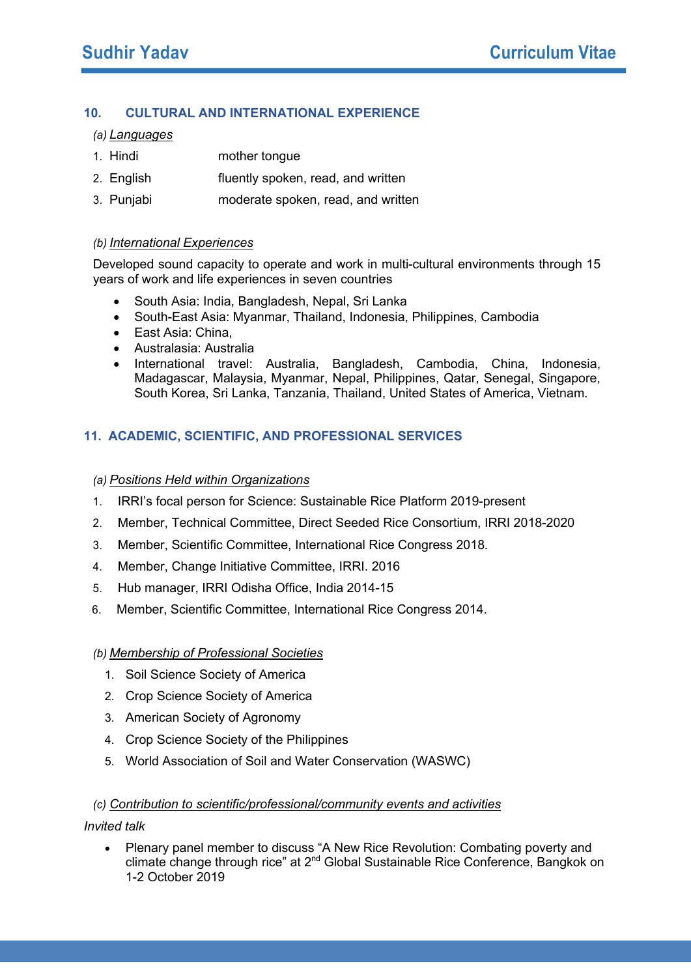## **10. CULTURAL AND INTERNATIONAL EXPERIENCE**

*(a) Languages*

- 1. Hindi mother tongue
- 2. English fluently spoken, read, and written
- 3. Punjabi moderate spoken, read, and written

#### *(b) International Experiences*

Developed sound capacity to operate and work in multi-cultural environments through 15 years of work and life experiences in seven countries

- South Asia: India, Bangladesh, Nepal, Sri Lanka
- South-East Asia: Myanmar, Thailand, Indonesia, Philippines, Cambodia
- East Asia: China,
- Australasia: Australia
- International travel: Australia, Bangladesh, Cambodia, China, Indonesia, Madagascar, Malaysia, Myanmar, Nepal, Philippines, Qatar, Senegal, Singapore, South Korea, Sri Lanka, Tanzania, Thailand, United States of America, Vietnam.

# **11. ACADEMIC, SCIENTIFIC, AND PROFESSIONAL SERVICES**

## *(a) Positions Held within Organizations*

- 1. IRRI's focal person for Science: Sustainable Rice Platform 2019-present
- 2. Member, Technical Committee, Direct Seeded Rice Consortium, IRRI 2018-2020
- 3. Member, Scientific Committee, International Rice Congress 2018.
- 4. Member, Change Initiative Committee, IRRI. 2016
- 5. Hub manager, IRRI Odisha Office, India 2014-15
- 6. Member, Scientific Committee, International Rice Congress 2014.

## *(b) Membership of Professional Societies*

- 1. Soil Science Society of America
- 2. Crop Science Society of America
- 3. American Society of Agronomy
- 4. Crop Science Society of the Philippines
- 5. World Association of Soil and Water Conservation (WASWC)

## *(c) Contribution to scientific/professional/community events and activities*

## *Invited talk*

• Plenary panel member to discuss "A New Rice Revolution: Combating poverty and climate change through rice" at 2nd Global Sustainable Rice Conference, Bangkok on 1-2 October 2019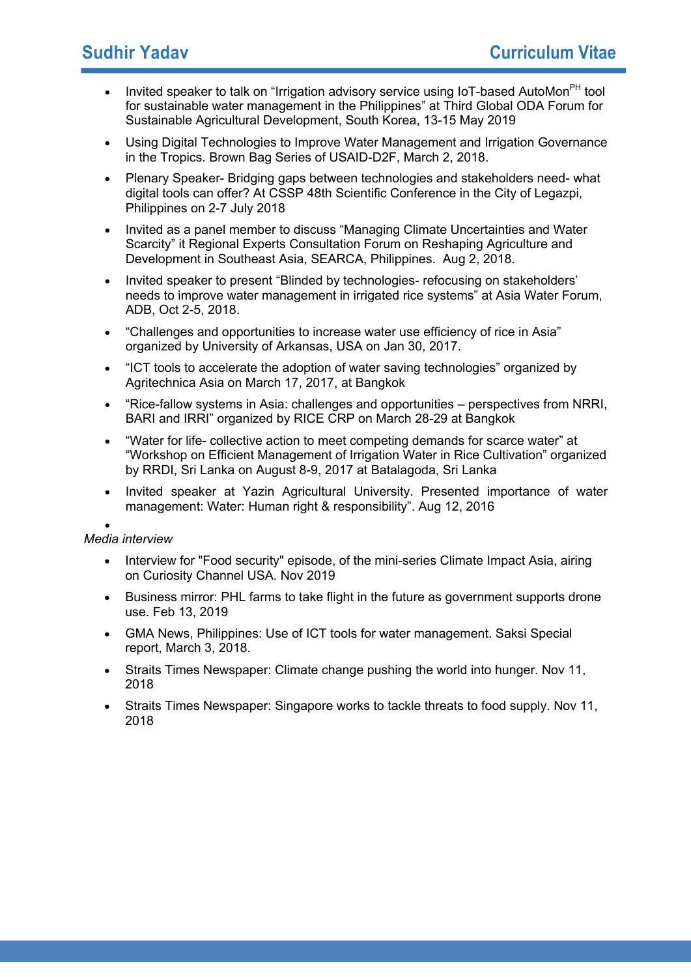- Invited speaker to talk on "Irrigation advisory service using IoT-based AutoMon<sup>PH</sup> tool for sustainable water management in the Philippines" at Third Global ODA Forum for Sustainable Agricultural Development, South Korea, 13-15 May 2019
- Using Digital Technologies to Improve Water Management and Irrigation Governance in the Tropics. Brown Bag Series of USAID-D2F, March 2, 2018.
- Plenary Speaker- Bridging gaps between technologies and stakeholders need- what digital tools can offer? At CSSP 48th Scientific Conference in the City of Legazpi, Philippines on 2-7 July 2018
- Invited as a panel member to discuss "Managing Climate Uncertainties and Water Scarcity" it Regional Experts Consultation Forum on Reshaping Agriculture and Development in Southeast Asia, SEARCA, Philippines. Aug 2, 2018.
- Invited speaker to present "Blinded by technologies- refocusing on stakeholders' needs to improve water management in irrigated rice systems" at Asia Water Forum, ADB, Oct 2-5, 2018.
- "Challenges and opportunities to increase water use efficiency of rice in Asia" organized by University of Arkansas, USA on Jan 30, 2017.
- "ICT tools to accelerate the adoption of water saving technologies" organized by Agritechnica Asia on March 17, 2017, at Bangkok
- "Rice-fallow systems in Asia: challenges and opportunities perspectives from NRRI, BARI and IRRI" organized by RICE CRP on March 28-29 at Bangkok
- "Water for life- collective action to meet competing demands for scarce water" at "Workshop on Efficient Management of Irrigation Water in Rice Cultivation" organized by RRDI, Sri Lanka on August 8-9, 2017 at Batalagoda, Sri Lanka
- Invited speaker at Yazin Agricultural University. Presented importance of water management: Water: Human right & responsibility". Aug 12, 2016

#### •

## *Media interview*

- Interview for "Food security" episode, of the mini-series Climate Impact Asia, airing on Curiosity Channel USA. Nov 2019
- Business mirror: PHL farms to take flight in the future as government supports drone use. Feb 13, 2019
- GMA News, Philippines: Use of ICT tools for water management. Saksi Special report, March 3, 2018.
- Straits Times Newspaper: Climate change pushing the world into hunger. Nov 11, 2018
- Straits Times Newspaper: Singapore works to tackle threats to food supply. Nov 11, 2018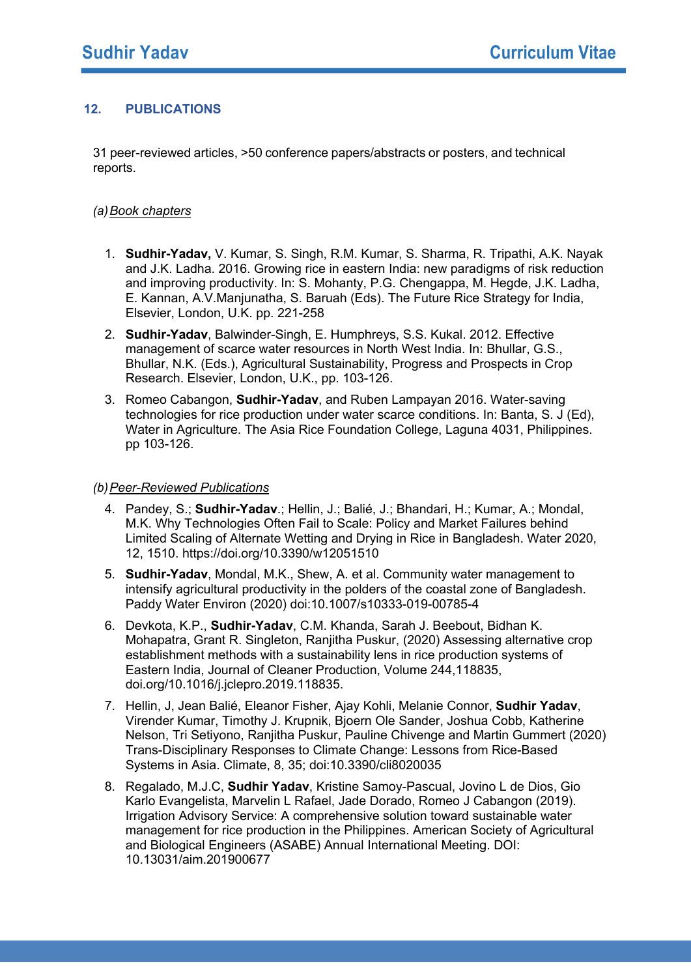## **12. PUBLICATIONS**

31 peer-reviewed articles, >50 conference papers/abstracts or posters, and technical reports.

## *(a)Book chapters*

- 1. **Sudhir-Yadav,** V. Kumar, S. Singh, R.M. Kumar, S. Sharma, R. Tripathi, A.K. Nayak and J.K. Ladha. 2016. Growing rice in eastern India: new paradigms of risk reduction and improving productivity. In: S. Mohanty, P.G. Chengappa, M. Hegde, J.K. Ladha, E. Kannan, A.V.Manjunatha, S. Baruah (Eds). The Future Rice Strategy for India, Elsevier, London, U.K. pp. 221-258
- 2. **Sudhir-Yadav**, Balwinder-Singh, E. Humphreys, S.S. Kukal. 2012. Effective management of scarce water resources in North West India. In: Bhullar, G.S., Bhullar, N.K. (Eds.), Agricultural Sustainability, Progress and Prospects in Crop Research. Elsevier, London, U.K., pp. 103-126.
- 3. Romeo Cabangon, **Sudhir-Yadav**, and Ruben Lampayan 2016. Water-saving technologies for rice production under water scarce conditions. In: Banta, S. J (Ed), Water in Agriculture. The Asia Rice Foundation College, Laguna 4031, Philippines. pp 103-126.

#### *(b)Peer-Reviewed Publications*

- 4. Pandey, S.; **Sudhir-Yadav**.; Hellin, J.; Balié, J.; Bhandari, H.; Kumar, A.; Mondal, M.K. Why Technologies Often Fail to Scale: Policy and Market Failures behind Limited Scaling of Alternate Wetting and Drying in Rice in Bangladesh. Water 2020, 12, 1510. https://doi.org/10.3390/w12051510
- 5. **Sudhir-Yadav**, Mondal, M.K., Shew, A. et al. Community water management to intensify agricultural productivity in the polders of the coastal zone of Bangladesh. Paddy Water Environ (2020) doi:10.1007/s10333-019-00785-4
- 6. Devkota, K.P., **Sudhir-Yadav**, C.M. Khanda, Sarah J. Beebout, Bidhan K. Mohapatra, Grant R. Singleton, Ranjitha Puskur, (2020) Assessing alternative crop establishment methods with a sustainability lens in rice production systems of Eastern India, Journal of Cleaner Production, Volume 244,118835, doi.org/10.1016/j.jclepro.2019.118835.
- 7. Hellin, J, Jean Balié, Eleanor Fisher, Ajay Kohli, Melanie Connor, **Sudhir Yadav**, Virender Kumar, Timothy J. Krupnik, Bjoern Ole Sander, Joshua Cobb, Katherine Nelson, Tri Setiyono, Ranjitha Puskur, Pauline Chivenge and Martin Gummert (2020) Trans-Disciplinary Responses to Climate Change: Lessons from Rice-Based Systems in Asia. Climate, 8, 35; doi:10.3390/cli8020035
- 8. Regalado, M.J.C, **Sudhir Yadav**, Kristine Samoy-Pascual, Jovino L de Dios, Gio Karlo Evangelista, Marvelin L Rafael, Jade Dorado, Romeo J Cabangon (2019). Irrigation Advisory Service: A comprehensive solution toward sustainable water management for rice production in the Philippines. American Society of Agricultural and Biological Engineers (ASABE) Annual International Meeting. DOI: 10.13031/aim.201900677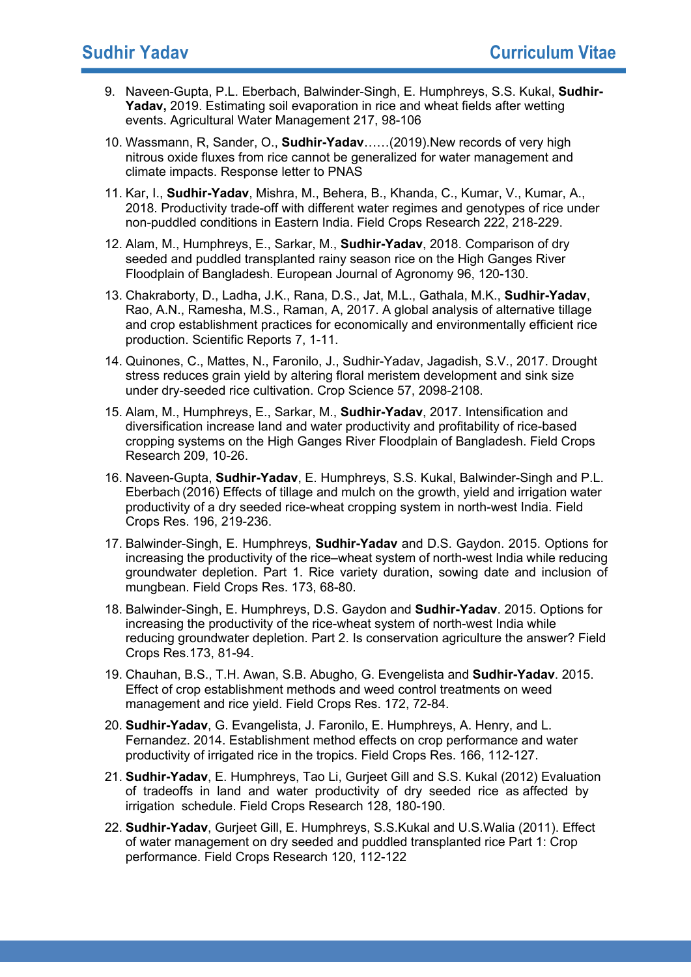- 9. Naveen-Gupta, P.L. Eberbach, Balwinder-Singh, E. Humphreys, S.S. Kukal, **Sudhir-Yadav,** 2019. Estimating soil evaporation in rice and wheat fields after wetting events. Agricultural Water Management 217, 98-106
- 10. Wassmann, R, Sander, O., **Sudhir-Yadav**……(2019).New records of very high nitrous oxide fluxes from rice cannot be generalized for water management and climate impacts. Response letter to PNAS
- 11. Kar, I., **Sudhir-Yadav**, Mishra, M., Behera, B., Khanda, C., Kumar, V., Kumar, A., 2018. Productivity trade-off with different water regimes and genotypes of rice under non-puddled conditions in Eastern India. Field Crops Research 222, 218-229.
- 12. Alam, M., Humphreys, E., Sarkar, M., **Sudhir-Yadav**, 2018. Comparison of dry seeded and puddled transplanted rainy season rice on the High Ganges River Floodplain of Bangladesh. European Journal of Agronomy 96, 120-130.
- 13. Chakraborty, D., Ladha, J.K., Rana, D.S., Jat, M.L., Gathala, M.K., **Sudhir-Yadav**, Rao, A.N., Ramesha, M.S., Raman, A, 2017. A global analysis of alternative tillage and crop establishment practices for economically and environmentally efficient rice production. Scientific Reports 7, 1-11.
- 14. Quinones, C., Mattes, N., Faronilo, J., Sudhir-Yadav, Jagadish, S.V., 2017. Drought stress reduces grain yield by altering floral meristem development and sink size under dry-seeded rice cultivation. Crop Science 57, 2098-2108.
- 15. Alam, M., Humphreys, E., Sarkar, M., **Sudhir-Yadav**, 2017. Intensification and diversification increase land and water productivity and profitability of rice-based cropping systems on the High Ganges River Floodplain of Bangladesh. Field Crops Research 209, 10-26.
- 16. Naveen-Gupta, **Sudhir-Yadav**, E. Humphreys, S.S. Kukal, Balwinder-Singh and P.L. Eberbach (2016) Effects of tillage and mulch on the growth, yield and irrigation water productivity of a dry seeded rice-wheat cropping system in north-west India. Field Crops Res. 196, 219-236.
- 17. Balwinder-Singh, E. Humphreys, **Sudhir-Yadav** and D.S. Gaydon. 2015. Options for increasing the productivity of the rice–wheat system of north-west India while reducing groundwater depletion. Part 1. Rice variety duration, sowing date and inclusion of mungbean. Field Crops Res. 173, 68-80.
- 18. Balwinder-Singh, E. Humphreys, D.S. Gaydon and **Sudhir-Yadav**. 2015. Options for increasing the productivity of the rice-wheat system of north-west India while reducing groundwater depletion. Part 2. Is conservation agriculture the answer? Field Crops Res.173, 81-94.
- 19. Chauhan, B.S., T.H. Awan, S.B. Abugho, G. Evengelista and **Sudhir-Yadav**. 2015. Effect of crop establishment methods and weed control treatments on weed management and rice yield. Field Crops Res. 172, 72-84.
- 20. **Sudhir-Yadav**, G. Evangelista, J. Faronilo, E. Humphreys, A. Henry, and L. Fernandez. 2014. Establishment method effects on crop performance and water productivity of irrigated rice in the tropics. Field Crops Res. 166, 112-127.
- 21. **Sudhir-Yadav**, E. Humphreys, Tao Li, Gurjeet Gill and S.S. Kukal (2012) Evaluation of tradeoffs in land and water productivity of dry seeded rice as affected by irrigation schedule. Field Crops Research 128, 180-190.
- 22. **Sudhir-Yadav**, Gurjeet Gill, E. Humphreys, S.S.Kukal and U.S.Walia (2011). Effect of water management on dry seeded and puddled transplanted rice Part 1: Crop performance. Field Crops Research 120, 112-122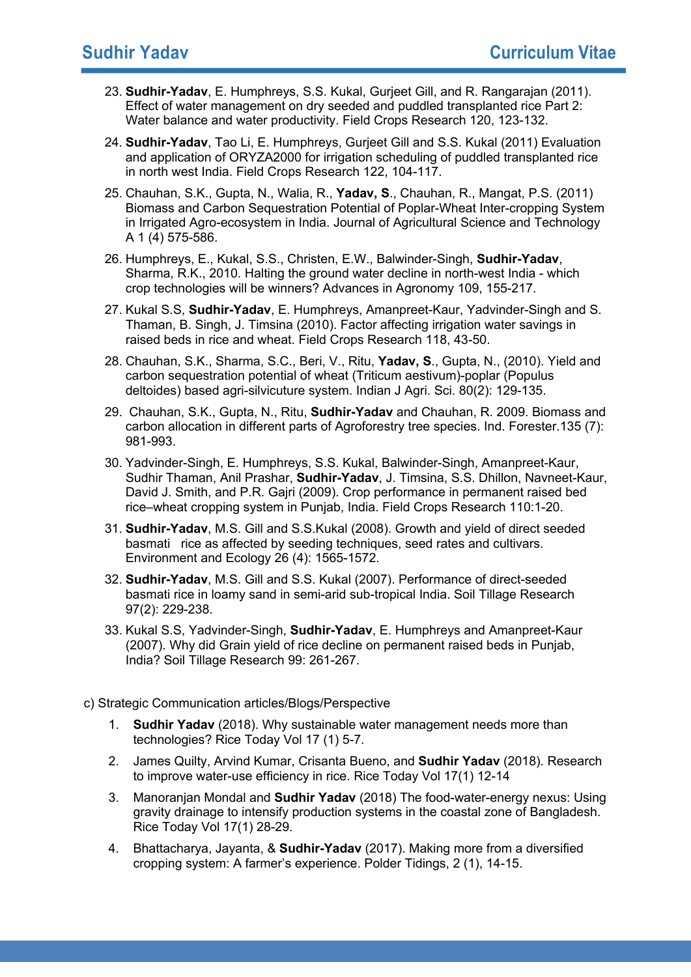- 23. **Sudhir-Yadav**, E. Humphreys, S.S. Kukal, Gurjeet Gill, and R. Rangarajan (2011). Effect of water management on dry seeded and puddled transplanted rice Part 2: Water balance and water productivity. Field Crops Research 120, 123-132.
- 24. **Sudhir-Yadav**, Tao Li, E. Humphreys, Gurjeet Gill and S.S. Kukal (2011) Evaluation and application of ORYZA2000 for irrigation scheduling of puddled transplanted rice in north west India. Field Crops Research 122, 104-117.
- 25. Chauhan, S.K., Gupta, N., Walia, R., **Yadav, S**., Chauhan, R., Mangat, P.S. (2011) Biomass and Carbon Sequestration Potential of Poplar-Wheat Inter-cropping System in Irrigated Agro-ecosystem in India. Journal of Agricultural Science and Technology A 1 (4) 575-586.
- 26. Humphreys, E., Kukal, S.S., Christen, E.W., Balwinder-Singh, **Sudhir-Yadav**, Sharma, R.K., 2010. Halting the ground water decline in north-west India - which crop technologies will be winners? Advances in Agronomy 109, 155-217.
- 27. Kukal S.S, **Sudhir-Yadav**, E. Humphreys, Amanpreet-Kaur, Yadvinder-Singh and S. Thaman, B. Singh, J. Timsina (2010). Factor affecting irrigation water savings in raised beds in rice and wheat. Field Crops Research 118, 43-50.
- 28. Chauhan, S.K., Sharma, S.C., Beri, V., Ritu, **Yadav, S**., Gupta, N., (2010). Yield and carbon sequestration potential of wheat (Triticum aestivum)-poplar (Populus deltoides) based agri-silvicuture system. Indian J Agri. Sci. 80(2): 129-135.
- 29. Chauhan, S.K., Gupta, N., Ritu, **Sudhir-Yadav** and Chauhan, R. 2009. Biomass and carbon allocation in different parts of Agroforestry tree species. Ind. Forester.135 (7): 981-993.
- 30. Yadvinder-Singh, E. Humphreys, S.S. Kukal, Balwinder-Singh, Amanpreet-Kaur, Sudhir Thaman, Anil Prashar, **Sudhir-Yadav**, J. Timsina, S.S. Dhillon, Navneet-Kaur, David J. Smith, and P.R. Gajri (2009). Crop performance in permanent raised bed rice–wheat cropping system in Punjab, India. Field Crops Research 110:1-20.
- 31. **Sudhir-Yadav**, M.S. Gill and S.S.Kukal (2008). Growth and yield of direct seeded basmati rice as affected by seeding techniques, seed rates and cultivars. Environment and Ecology 26 (4): 1565-1572.
- 32. **Sudhir-Yadav**, M.S. Gill and S.S. Kukal (2007). Performance of direct-seeded basmati rice in loamy sand in semi-arid sub-tropical India. Soil Tillage Research 97(2): 229-238.
- 33. Kukal S.S, Yadvinder-Singh, **Sudhir-Yadav**, E. Humphreys and Amanpreet-Kaur (2007). Why did Grain yield of rice decline on permanent raised beds in Punjab, India? Soil Tillage Research 99: 261-267.
- c) Strategic Communication articles/Blogs/Perspective
	- 1. **Sudhir Yadav** (2018). Why sustainable water management needs more than technologies? Rice Today Vol 17 (1) 5-7.
	- 2. James Quilty, Arvind Kumar, Crisanta Bueno, and **Sudhir Yadav** (2018). Research to improve water-use efficiency in rice. Rice Today Vol 17(1) 12-14
	- 3. Manoranjan Mondal and **Sudhir Yadav** (2018) The food-water-energy nexus: Using gravity drainage to intensify production systems in the coastal zone of Bangladesh. Rice Today Vol 17(1) 28-29.
	- 4. Bhattacharya, Jayanta, & **Sudhir-Yadav** (2017). Making more from a diversified cropping system: A farmer's experience. Polder Tidings, 2 (1), 14-15.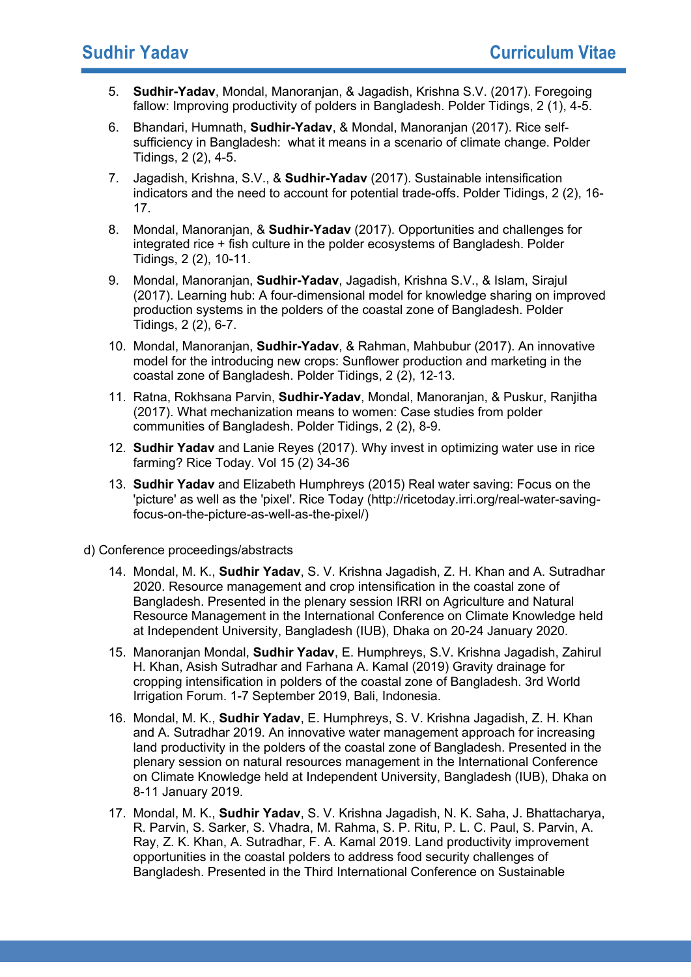- 5. **Sudhir-Yadav**, Mondal, Manoranjan, & Jagadish, Krishna S.V. (2017). Foregoing fallow: Improving productivity of polders in Bangladesh. Polder Tidings, 2 (1), 4-5.
- 6. Bhandari, Humnath, **Sudhir-Yadav**, & Mondal, Manoranjan (2017). Rice selfsufficiency in Bangladesh: what it means in a scenario of climate change. Polder Tidings, 2 (2), 4-5.
- 7. Jagadish, Krishna, S.V., & **Sudhir-Yadav** (2017). Sustainable intensification indicators and the need to account for potential trade-offs. Polder Tidings, 2 (2), 16- 17.
- 8. Mondal, Manoranjan, & **Sudhir-Yadav** (2017). Opportunities and challenges for integrated rice + fish culture in the polder ecosystems of Bangladesh. Polder Tidings, 2 (2), 10-11.
- 9. Mondal, Manoranjan, **Sudhir-Yadav**, Jagadish, Krishna S.V., & Islam, Sirajul (2017). Learning hub: A four-dimensional model for knowledge sharing on improved production systems in the polders of the coastal zone of Bangladesh. Polder Tidings, 2 (2), 6-7.
- 10. Mondal, Manoranjan, **Sudhir-Yadav**, & Rahman, Mahbubur (2017). An innovative model for the introducing new crops: Sunflower production and marketing in the coastal zone of Bangladesh. Polder Tidings, 2 (2), 12-13.
- 11. Ratna, Rokhsana Parvin, **Sudhir-Yadav**, Mondal, Manoranjan, & Puskur, Ranjitha (2017). What mechanization means to women: Case studies from polder communities of Bangladesh. Polder Tidings, 2 (2), 8-9.
- 12. **Sudhir Yadav** and Lanie Reyes (2017). Why invest in optimizing water use in rice farming? Rice Today. Vol 15 (2) 34-36
- 13. **Sudhir Yadav** and Elizabeth Humphreys (2015) Real water saving: Focus on the 'picture' as well as the 'pixel'. Rice Today (http://ricetoday.irri.org/real-water-savingfocus-on-the-picture-as-well-as-the-pixel/)
- d) Conference proceedings/abstracts
	- 14. Mondal, M. K., **Sudhir Yadav**, S. V. Krishna Jagadish, Z. H. Khan and A. Sutradhar 2020. Resource management and crop intensification in the coastal zone of Bangladesh. Presented in the plenary session IRRI on Agriculture and Natural Resource Management in the International Conference on Climate Knowledge held at Independent University, Bangladesh (IUB), Dhaka on 20-24 January 2020.
	- 15. Manoranjan Mondal, **Sudhir Yadav**, E. Humphreys, S.V. Krishna Jagadish, Zahirul H. Khan, Asish Sutradhar and Farhana A. Kamal (2019) Gravity drainage for cropping intensification in polders of the coastal zone of Bangladesh. 3rd World Irrigation Forum. 1-7 September 2019, Bali, Indonesia.
	- 16. Mondal, M. K., **Sudhir Yadav**, E. Humphreys, S. V. Krishna Jagadish, Z. H. Khan and A. Sutradhar 2019. An innovative water management approach for increasing land productivity in the polders of the coastal zone of Bangladesh. Presented in the plenary session on natural resources management in the International Conference on Climate Knowledge held at Independent University, Bangladesh (IUB), Dhaka on 8-11 January 2019.
	- 17. Mondal, M. K., **Sudhir Yadav**, S. V. Krishna Jagadish, N. K. Saha, J. Bhattacharya, R. Parvin, S. Sarker, S. Vhadra, M. Rahma, S. P. Ritu, P. L. C. Paul, S. Parvin, A. Ray, Z. K. Khan, A. Sutradhar, F. A. Kamal 2019. Land productivity improvement opportunities in the coastal polders to address food security challenges of Bangladesh. Presented in the Third International Conference on Sustainable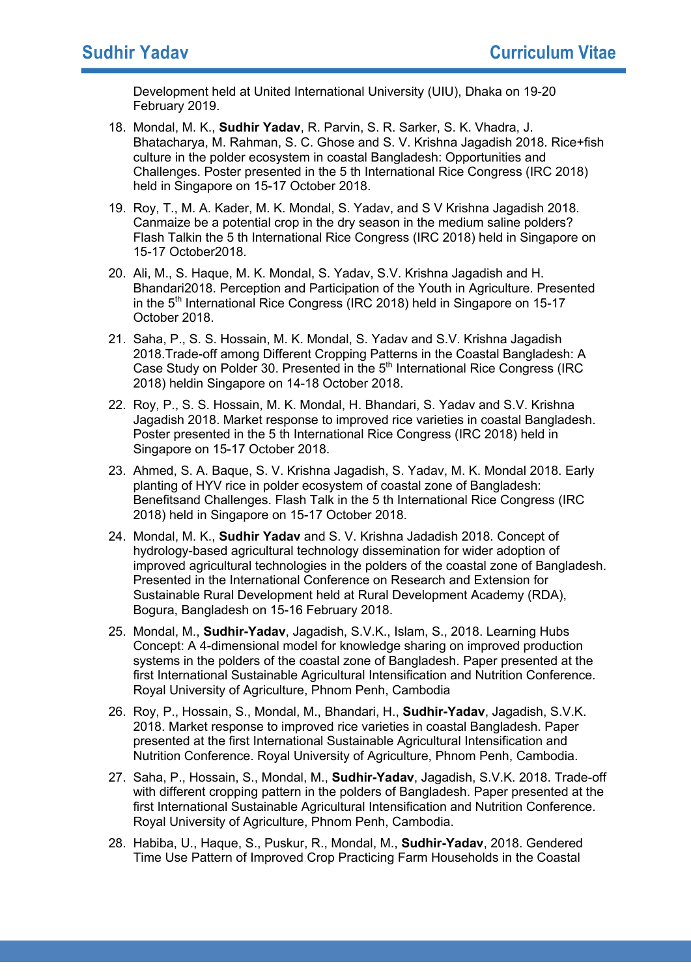Development held at United International University (UIU), Dhaka on 19-20 February 2019.

- 18. Mondal, M. K., **Sudhir Yadav**, R. Parvin, S. R. Sarker, S. K. Vhadra, J. Bhatacharya, M. Rahman, S. C. Ghose and S. V. Krishna Jagadish 2018. Rice+fish culture in the polder ecosystem in coastal Bangladesh: Opportunities and Challenges. Poster presented in the 5 th International Rice Congress (IRC 2018) held in Singapore on 15-17 October 2018.
- 19. Roy, T., M. A. Kader, M. K. Mondal, S. Yadav, and S V Krishna Jagadish 2018. Canmaize be a potential crop in the dry season in the medium saline polders? Flash Talkin the 5 th International Rice Congress (IRC 2018) held in Singapore on 15-17 October2018.
- 20. Ali, M., S. Haque, M. K. Mondal, S. Yadav, S.V. Krishna Jagadish and H. Bhandari2018. Perception and Participation of the Youth in Agriculture. Presented in the 5<sup>th</sup> International Rice Congress (IRC 2018) held in Singapore on 15-17 October 2018.
- 21. Saha, P., S. S. Hossain, M. K. Mondal, S. Yadav and S.V. Krishna Jagadish 2018.Trade-off among Different Cropping Patterns in the Coastal Bangladesh: A Case Study on Polder 30. Presented in the  $5<sup>th</sup>$  International Rice Congress (IRC 2018) heldin Singapore on 14-18 October 2018.
- 22. Roy, P., S. S. Hossain, M. K. Mondal, H. Bhandari, S. Yadav and S.V. Krishna Jagadish 2018. Market response to improved rice varieties in coastal Bangladesh. Poster presented in the 5 th International Rice Congress (IRC 2018) held in Singapore on 15-17 October 2018.
- 23. Ahmed, S. A. Baque, S. V. Krishna Jagadish, S. Yadav, M. K. Mondal 2018. Early planting of HYV rice in polder ecosystem of coastal zone of Bangladesh: Benefitsand Challenges. Flash Talk in the 5 th International Rice Congress (IRC 2018) held in Singapore on 15-17 October 2018.
- 24. Mondal, M. K., **Sudhir Yadav** and S. V. Krishna Jadadish 2018. Concept of hydrology-based agricultural technology dissemination for wider adoption of improved agricultural technologies in the polders of the coastal zone of Bangladesh. Presented in the International Conference on Research and Extension for Sustainable Rural Development held at Rural Development Academy (RDA), Bogura, Bangladesh on 15-16 February 2018.
- 25. Mondal, M., **Sudhir-Yadav**, Jagadish, S.V.K., Islam, S., 2018. Learning Hubs Concept: A 4-dimensional model for knowledge sharing on improved production systems in the polders of the coastal zone of Bangladesh. Paper presented at the first International Sustainable Agricultural Intensification and Nutrition Conference. Royal University of Agriculture, Phnom Penh, Cambodia
- 26. Roy, P., Hossain, S., Mondal, M., Bhandari, H., **Sudhir-Yadav**, Jagadish, S.V.K. 2018. Market response to improved rice varieties in coastal Bangladesh. Paper presented at the first International Sustainable Agricultural Intensification and Nutrition Conference. Royal University of Agriculture, Phnom Penh, Cambodia.
- 27. Saha, P., Hossain, S., Mondal, M., **Sudhir-Yadav**, Jagadish, S.V.K. 2018. Trade-off with different cropping pattern in the polders of Bangladesh. Paper presented at the first International Sustainable Agricultural Intensification and Nutrition Conference. Royal University of Agriculture, Phnom Penh, Cambodia.
- 28. Habiba, U., Haque, S., Puskur, R., Mondal, M., **Sudhir-Yadav**, 2018. Gendered Time Use Pattern of Improved Crop Practicing Farm Households in the Coastal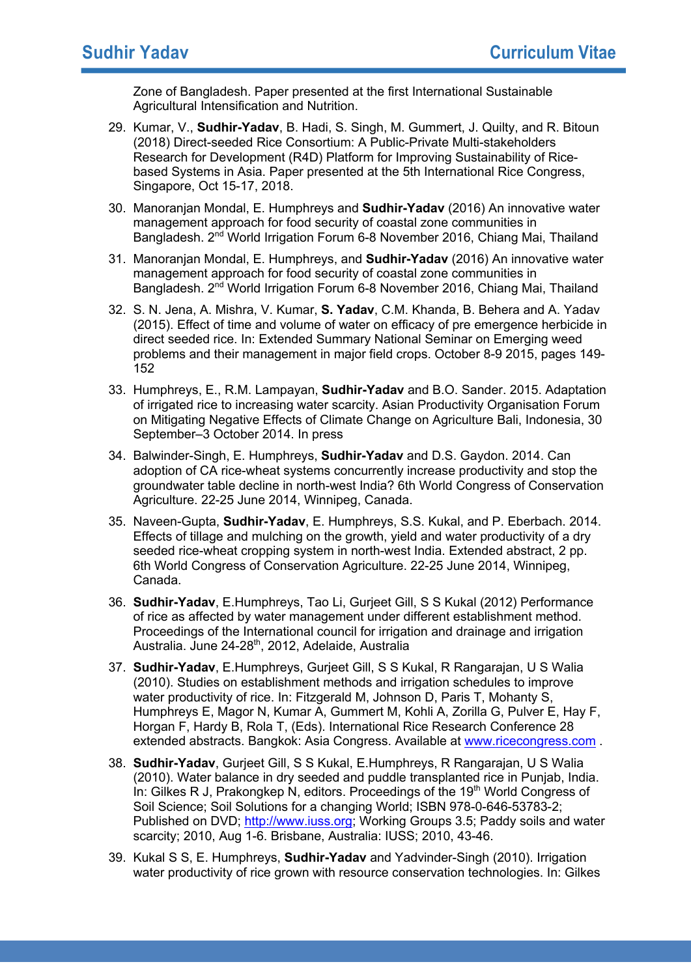Zone of Bangladesh. Paper presented at the first International Sustainable Agricultural Intensification and Nutrition.

- 29. Kumar, V., **Sudhir-Yadav**, B. Hadi, S. Singh, M. Gummert, J. Quilty, and R. Bitoun (2018) Direct-seeded Rice Consortium: A Public-Private Multi-stakeholders Research for Development (R4D) Platform for Improving Sustainability of Ricebased Systems in Asia. Paper presented at the 5th International Rice Congress, Singapore, Oct 15-17, 2018.
- 30. Manoranjan Mondal, E. Humphreys and **Sudhir-Yadav** (2016) An innovative water management approach for food security of coastal zone communities in Bangladesh. 2nd World Irrigation Forum 6-8 November 2016, Chiang Mai, Thailand
- 31. Manoranjan Mondal, E. Humphreys, and **Sudhir-Yadav** (2016) An innovative water management approach for food security of coastal zone communities in Bangladesh. 2<sup>nd</sup> World Irrigation Forum 6-8 November 2016, Chiang Mai, Thailand
- 32. S. N. Jena, A. Mishra, V. Kumar, **S. Yadav**, C.M. Khanda, B. Behera and A. Yadav (2015). Effect of time and volume of water on efficacy of pre emergence herbicide in direct seeded rice. In: Extended Summary National Seminar on Emerging weed problems and their management in major field crops. October 8-9 2015, pages 149- 152
- 33. Humphreys, E., R.M. Lampayan, **Sudhir-Yadav** and B.O. Sander. 2015. Adaptation of irrigated rice to increasing water scarcity. Asian Productivity Organisation Forum on Mitigating Negative Effects of Climate Change on Agriculture Bali, Indonesia, 30 September–3 October 2014. In press
- 34. Balwinder-Singh, E. Humphreys, **Sudhir-Yadav** and D.S. Gaydon. 2014. Can adoption of CA rice-wheat systems concurrently increase productivity and stop the groundwater table decline in north-west India? 6th World Congress of Conservation Agriculture. 22-25 June 2014, Winnipeg, Canada.
- 35. Naveen-Gupta, **Sudhir-Yadav**, E. Humphreys, S.S. Kukal, and P. Eberbach. 2014. Effects of tillage and mulching on the growth, yield and water productivity of a dry seeded rice-wheat cropping system in north-west India. Extended abstract, 2 pp. 6th World Congress of Conservation Agriculture. 22-25 June 2014, Winnipeg, Canada.
- 36. **Sudhir-Yadav**, E.Humphreys, Tao Li, Gurjeet Gill, S S Kukal (2012) Performance of rice as affected by water management under different establishment method. Proceedings of the International council for irrigation and drainage and irrigation Australia. June 24-28<sup>th</sup>, 2012, Adelaide, Australia
- 37. **Sudhir-Yadav**, E.Humphreys, Gurjeet Gill, S S Kukal, R Rangarajan, U S Walia (2010). Studies on establishment methods and irrigation schedules to improve water productivity of rice. In: Fitzgerald M, Johnson D, Paris T, Mohanty S, Humphreys E, Magor N, Kumar A, Gummert M, Kohli A, Zorilla G, Pulver E, Hay F, Horgan F, Hardy B, Rola T, (Eds). International Rice Research Conference 28 extended abstracts. Bangkok: Asia Congress. Available at www.ricecongress.com.
- 38. **Sudhir-Yadav**, Gurjeet Gill, S S Kukal, E.Humphreys, R Rangarajan, U S Walia (2010). Water balance in dry seeded and puddle transplanted rice in Punjab, India. In: Gilkes R J, Prakongkep N, editors. Proceedings of the 19<sup>th</sup> World Congress of Soil Science; Soil Solutions for a changing World; ISBN 978-0-646-53783-2; Published on DVD; http://www.iuss.org; Working Groups 3.5; Paddy soils and water scarcity; 2010, Aug 1-6. Brisbane, Australia: IUSS; 2010, 43-46.
- 39. Kukal S S, E. Humphreys, **Sudhir-Yadav** and Yadvinder-Singh (2010). Irrigation water productivity of rice grown with resource conservation technologies. In: Gilkes